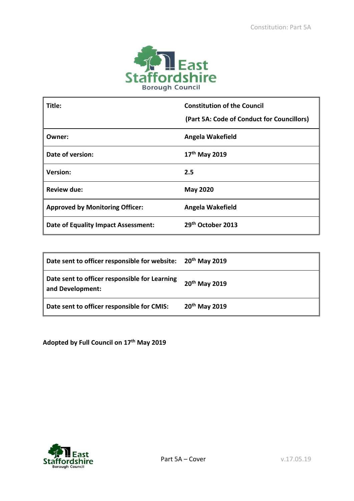

| Title:                                 | <b>Constitution of the Council</b>         |
|----------------------------------------|--------------------------------------------|
|                                        | (Part 5A: Code of Conduct for Councillors) |
| Owner:                                 | Angela Wakefield                           |
| Date of version:                       | 17 <sup>th</sup> May 2019                  |
| <b>Version:</b>                        | 2.5                                        |
| <b>Review due:</b>                     | <b>May 2020</b>                            |
| <b>Approved by Monitoring Officer:</b> | Angela Wakefield                           |
| Date of Equality Impact Assessment:    | 29 <sup>th</sup> October 2013              |

| Date sent to officer responsible for website: 20 <sup>th</sup> May 2019 |                           |
|-------------------------------------------------------------------------|---------------------------|
| Date sent to officer responsible for Learning<br>and Development:       | $20th$ May 2019           |
| Date sent to officer responsible for CMIS:                              | 20 <sup>th</sup> May 2019 |

**Adopted by Full Council on 17 th May 2019**

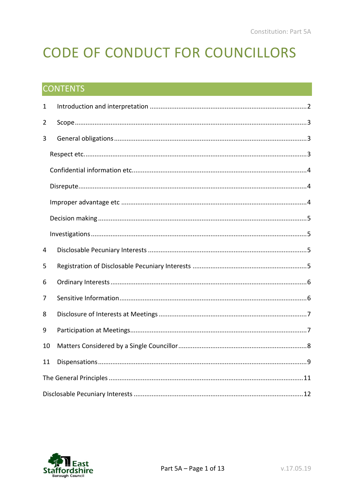# CODE OF CONDUCT FOR COUNCILLORS

### **CONTENTS**

| 1  |  |
|----|--|
| 2  |  |
| 3  |  |
|    |  |
|    |  |
|    |  |
|    |  |
|    |  |
|    |  |
| 4  |  |
| 5  |  |
| 6  |  |
| 7  |  |
| 8  |  |
| 9  |  |
| 10 |  |
| 11 |  |
|    |  |
|    |  |

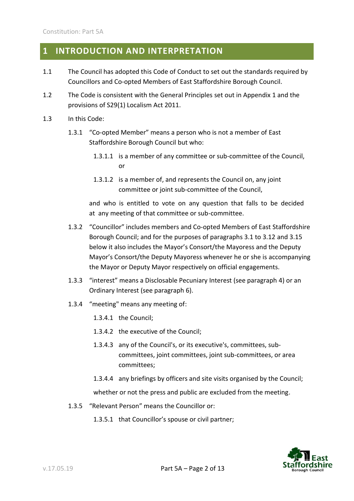### <span id="page-3-0"></span>**1 INTRODUCTION AND INTERPRETATION**

- 1.1 The Council has adopted this Code of Conduct to set out the standards required by Councillors and Co-opted Members of East Staffordshire Borough Council.
- 1.2 The Code is consistent with the General Principles set out in Appendix 1 and the provisions of S29(1) Localism Act 2011.
- 1.3 In this Code:
	- 1.3.1 "Co-opted Member" means a person who is not a member of East Staffordshire Borough Council but who:
		- 1.3.1.1 is a member of any committee or sub-committee of the Council, or
		- 1.3.1.2 is a member of, and represents the Council on, any joint committee or joint sub-committee of the Council,

and who is entitled to vote on any question that falls to be decided at any meeting of that committee or sub-committee.

- 1.3.2 "Councillor" includes members and Co-opted Members of East Staffordshire Borough Council; and for the purposes of paragraphs 3.1 to 3.12 and 3.15 below it also includes the Mayor's Consort/the Mayoress and the Deputy Mayor's Consort/the Deputy Mayoress whenever he or she is accompanying the Mayor or Deputy Mayor respectively on official engagements.
- 1.3.3 "interest" means a Disclosable Pecuniary Interest (see paragraph [4\)](#page-6-2) or an Ordinary Interest (see paragraph [6\)](#page-7-0).
- 1.3.4 "meeting" means any meeting of:
	- 1.3.4.1 the Council;
	- 1.3.4.2 the executive of the Council;
	- 1.3.4.3 any of the Council's, or its executive's, committees, subcommittees, joint committees, joint sub-committees, or area committees;
	- 1.3.4.4 any briefings by officers and site visits organised by the Council; whether or not the press and public are excluded from the meeting.
- 1.3.5 "Relevant Person" means the Councillor or:

1.3.5.1 that Councillor's spouse or civil partner;

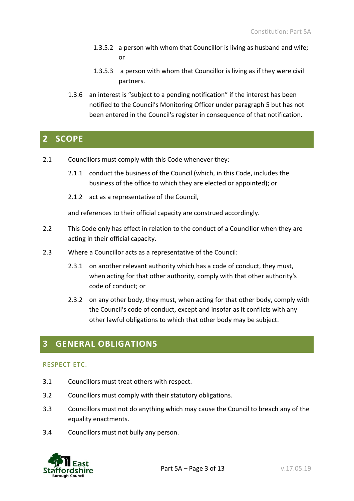- 1.3.5.2 a person with whom that Councillor is living as husband and wife; or
- 1.3.5.3 a person with whom that Councillor is living as if they were civil partners.
- 1.3.6 an interest is "subject to a pending notification" if the interest has been notified to the Council's Monitoring Officer under paragraph [5](#page-6-3) but has not been entered in the Council's register in consequence of that notification.

### <span id="page-4-0"></span>**2 SCOPE**

- 2.1 Councillors must comply with this Code whenever they:
	- 2.1.1 conduct the business of the Council (which, in this Code, includes the business of the office to which they are elected or appointed); or
	- 2.1.2 act as a representative of the Council,

and references to their official capacity are construed accordingly.

- 2.2 This Code only has effect in relation to the conduct of a Councillor when they are acting in their official capacity.
- 2.3 Where a Councillor acts as a representative of the Council:
	- 2.3.1 on another relevant authority which has a code of conduct, they must, when acting for that other authority, comply with that other authority's code of conduct; or
	- 2.3.2 on any other body, they must, when acting for that other body, comply with the Council's code of conduct, except and insofar as it conflicts with any other lawful obligations to which that other body may be subject.

### <span id="page-4-1"></span>**3 GENERAL OBLIGATIONS**

### <span id="page-4-2"></span>RESPECT ETC.

- 3.1 Councillors must treat others with respect.
- 3.2 Councillors must comply with their statutory obligations.
- 3.3 Councillors must not do anything which may cause the Council to breach any of the equality enactments.
- 3.4 Councillors must not bully any person.

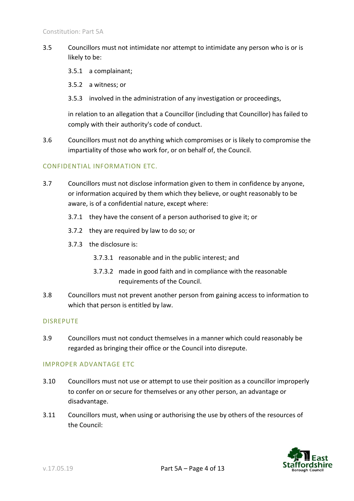- 3.5 Councillors must not intimidate nor attempt to intimidate any person who is or is likely to be:
	- 3.5.1 a complainant;
	- 3.5.2 a witness; or
	- 3.5.3 involved in the administration of any investigation or proceedings,

in relation to an allegation that a Councillor (including that Councillor) has failed to comply with their authority's code of conduct.

3.6 Councillors must not do anything which compromises or is likely to compromise the impartiality of those who work for, or on behalf of, the Council.

#### <span id="page-5-0"></span>CONFIDENTIAL INFORMATION ETC.

- 3.7 Councillors must not disclose information given to them in confidence by anyone, or information acquired by them which they believe, or ought reasonably to be aware, is of a confidential nature, except where:
	- 3.7.1 they have the consent of a person authorised to give it; or
	- 3.7.2 they are required by law to do so; or
	- 3.7.3 the disclosure is:
		- 3.7.3.1 reasonable and in the public interest; and
		- 3.7.3.2 made in good faith and in compliance with the reasonable requirements of the Council.
- 3.8 Councillors must not prevent another person from gaining access to information to which that person is entitled by law.

#### <span id="page-5-1"></span>DISREPUTE

3.9 Councillors must not conduct themselves in a manner which could reasonably be regarded as bringing their office or the Council into disrepute.

#### <span id="page-5-2"></span>IMPROPER ADVANTAGE ETC

- 3.10 Councillors must not use or attempt to use their position as a councillor improperly to confer on or secure for themselves or any other person, an advantage or disadvantage.
- 3.11 Councillors must, when using or authorising the use by others of the resources of the Council:

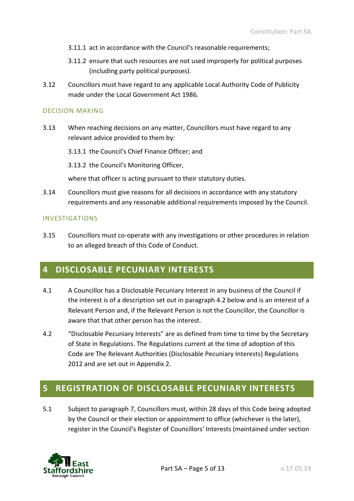- 3.11.1 act in accordance with the Council's reasonable requirements;
- 3.11.2 ensure that such resources are not used improperly for political purposes (including party political purposes).
- 3.12 Councillors must have regard to any applicable Local Authority Code of Publicity made under the Local Government Act 1986.

#### <span id="page-6-0"></span>DECISION MAKING

3.13 When reaching decisions on any matter, Councillors must have regard to any relevant advice provided to them by:

3.13.1 the Council's Chief Finance Officer; and

3.13.2 the Council's Monitoring Officer,

where that officer is acting pursuant to their statutory duties.

3.14 Councillors must give reasons for all decisions in accordance with any statutory requirements and any reasonable additional requirements imposed by the Council.

#### <span id="page-6-1"></span>INVESTIGATIONS

3.15 Councillors must co-operate with any investigations or other procedures in relation to an alleged breach of this Code of Conduct.

### <span id="page-6-2"></span>**4 DISCLOSABLE PECUNIARY INTERESTS**

- 4.1 A Councillor has a Disclosable Pecuniary Interest in any business of the Council if the interest is of a description set out in paragraph 4.2 below and is an interest of a Relevant Person and, if the Relevant Person is not the Councillor, the Councillor is aware that that other person has the interest.
- 4.2 "Disclosable Pecuniary Interests" are as defined from time to time by the Secretary of State in Regulations. The Regulations current at the time of adoption of this Code are The Relevant Authorities (Disclosable Pecuniary Interests) Regulations 2012 and are set out in Appendix 2.

### <span id="page-6-3"></span>**5 REGISTRATION OF DISCLOSABLE PECUNIARY INTERESTS**

<span id="page-6-4"></span>5.1 Subject to paragraph [7,](#page-7-1) Councillors must, within 28 days of this Code being adopted by the Council or their election or appointment to office (whichever is the later), register in the Council's Register of Councillors' Interests (maintained under section

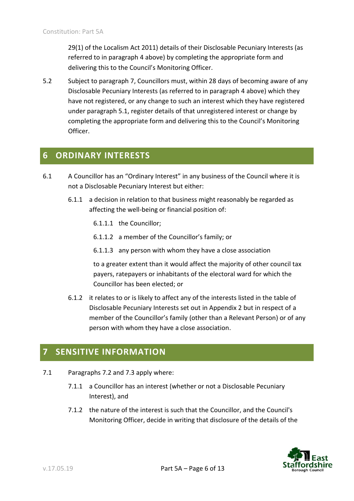29(1) of the Localism Act 2011) details of their Disclosable Pecuniary Interests (as referred to in paragraph [4](#page-6-2) above) by completing the appropriate form and delivering this to the Council's Monitoring Officer.

5.2 Subject to paragraph [7,](#page-7-1) Councillors must, within 28 days of becoming aware of any Disclosable Pecuniary Interests (as referred to in paragraph [4](#page-6-2) above) which they have not registered, or any change to such an interest which they have registered under paragraph [5.1,](#page-6-4) register details of that unregistered interest or change by completing the appropriate form and delivering this to the Council's Monitoring Officer.

## <span id="page-7-0"></span>**6 ORDINARY INTERESTS**

- 6.1 A Councillor has an "Ordinary Interest" in any business of the Council where it is not a Disclosable Pecuniary Interest but either:
	- 6.1.1 a decision in relation to that business might reasonably be regarded as affecting the well-being or financial position of:
		- 6.1.1.1 the Councillor;
		- 6.1.1.2 a member of the Councillor's family; or
		- 6.1.1.3 any person with whom they have a close association

to a greater extent than it would affect the majority of other council tax payers, ratepayers or inhabitants of the electoral ward for which the Councillor has been elected; or

6.1.2 it relates to or is likely to affect any of the interests listed in the table of Disclosable Pecuniary Interests set out in Appendix 2 but in respect of a member of the Councillor's family (other than a Relevant Person) or of any person with whom they have a close association.

# <span id="page-7-1"></span>**7 SENSITIVE INFORMATION**

- 7.1 Paragraphs [7.2](#page-8-2) and [7.3](#page-8-3) apply where:
	- 7.1.1 a Councillor has an interest (whether or not a Disclosable Pecuniary Interest), and
	- 7.1.2 the nature of the interest is such that the Councillor, and the Council's Monitoring Officer, decide in writing that disclosure of the details of the

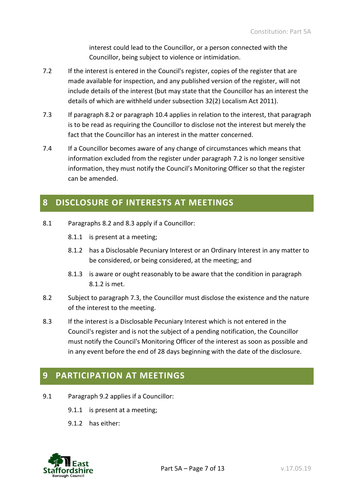interest could lead to the Councillor, or a person connected with the Councillor, being subject to violence or intimidation.

- <span id="page-8-2"></span>7.2 If the interest is entered in the Council's register, copies of the register that are made available for inspection, and any published version of the register, will not include details of the interest (but may state that the Councillor has an interest the details of which are withheld under subsection 32(2) Localism Act 2011).
- <span id="page-8-3"></span>7.3 If paragraph [8.2](#page-8-4) or paragraph [10.4](#page-10-1) applies in relation to the interest, that paragraph is to be read as requiring the Councillor to disclose not the interest but merely the fact that the Councillor has an interest in the matter concerned.
- 7.4 If a Councillor becomes aware of any change of circumstances which means that information excluded from the register under paragraph [7.2](#page-8-2) is no longer sensitive information, they must notify the Council's Monitoring Officer so that the register can be amended.

## <span id="page-8-0"></span>**8 DISCLOSURE OF INTERESTS AT MEETINGS**

- <span id="page-8-6"></span>8.1 Paragraphs [8.2](#page-8-4) and [8.3](#page-8-5) apply if a Councillor:
	- 8.1.1 is present at a meeting;
	- 8.1.2 has a Disclosable Pecuniary Interest or an Ordinary Interest in any matter to be considered, or being considered, at the meeting; and
	- 8.1.3 is aware or ought reasonably to be aware that the condition in paragraph [8.1.2](#page-8-6) is met.
- <span id="page-8-4"></span>8.2 Subject to paragraph [7.3,](#page-8-3) the Councillor must disclose the existence and the nature of the interest to the meeting.
- <span id="page-8-5"></span>8.3 If the interest is a Disclosable Pecuniary Interest which is not entered in the Council's register and is not the subject of a pending notification, the Councillor must notify the Council's Monitoring Officer of the interest as soon as possible and in any event before the end of 28 days beginning with the date of the disclosure.

### <span id="page-8-1"></span>**9 PARTICIPATION AT MEETINGS**

- 9.1 Paragraph [9.2](#page-9-1) applies if a Councillor:
	- 9.1.1 is present at a meeting;
	- 9.1.2 has either:

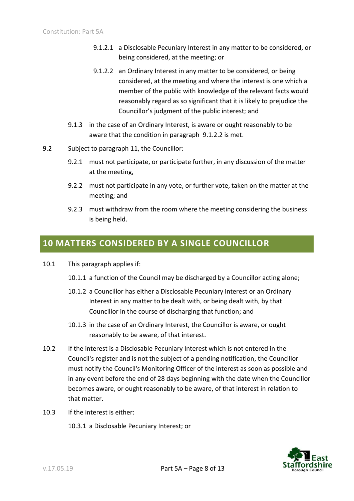- 9.1.2.1 a Disclosable Pecuniary Interest in any matter to be considered, or being considered, at the meeting; or
- <span id="page-9-2"></span>9.1.2.2 an Ordinary Interest in any matter to be considered, or being considered, at the meeting and where the interest is one which a member of the public with knowledge of the relevant facts would reasonably regard as so significant that it is likely to prejudice the Councillor's judgment of the public interest; and
- 9.1.3 in the case of an Ordinary Interest, is aware or ought reasonably to be aware that the condition in paragraph [9.1.2.2](#page-9-2) is met.
- <span id="page-9-1"></span>9.2 Subject to paragraph [11,](#page-10-0) the Councillor:
	- 9.2.1 must not participate, or participate further, in any discussion of the matter at the meeting,
	- 9.2.2 must not participate in any vote, or further vote, taken on the matter at the meeting; and
	- 9.2.3 must withdraw from the room where the meeting considering the business is being held.

### <span id="page-9-0"></span>**10 MATTERS CONSIDERED BY A SINGLE COUNCILLOR**

- 10.1 This paragraph applies if:
	- 10.1.1 a function of the Council may be discharged by a Councillor acting alone;
	- 10.1.2 a Councillor has either a Disclosable Pecuniary Interest or an Ordinary Interest in any matter to be dealt with, or being dealt with, by that Councillor in the course of discharging that function; and
	- 10.1.3 in the case of an Ordinary Interest, the Councillor is aware, or ought reasonably to be aware, of that interest.
- 10.2 If the interest is a Disclosable Pecuniary Interest which is not entered in the Council's register and is not the subject of a pending notification, the Councillor must notify the Council's Monitoring Officer of the interest as soon as possible and in any event before the end of 28 days beginning with the date when the Councillor becomes aware, or ought reasonably to be aware, of that interest in relation to that matter.
- 10.3 If the interest is either:
	- 10.3.1 a Disclosable Pecuniary Interest; or

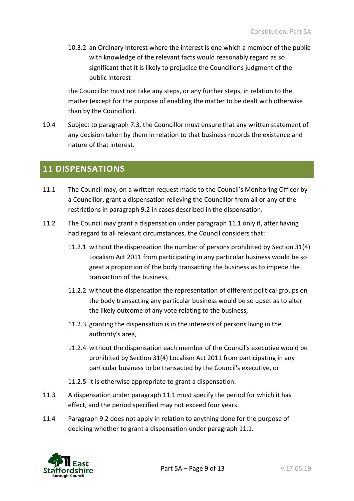10.3.2 an Ordinary Interest where the interest is one which a member of the public with knowledge of the relevant facts would reasonably regard as so significant that it is likely to prejudice the Councillor's judgment of the public interest

the Councillor must not take any steps, or any further steps, in relation to the matter (except for the purpose of enabling the matter to be dealt with otherwise than by the Councillor).

<span id="page-10-1"></span>10.4 Subject to paragraph [7.3,](#page-8-3) the Councillor must ensure that any written statement of any decision taken by them in relation to that business records the existence and nature of that interest.

### <span id="page-10-0"></span>**11 DISPENSATIONS**

- <span id="page-10-2"></span>11.1 The Council may, on a written request made to the Council's Monitoring Officer by a Councillor, grant a dispensation relieving the Councillor from all or any of the restrictions in paragraph [9.2](#page-9-1) in cases described in the dispensation.
- 11.2 The Council may grant a dispensation under paragraph [11.1](#page-10-2) only if, after having had regard to all relevant circumstances, the Council considers that:
	- 11.2.1 without the dispensation the number of persons prohibited by Section 31(4) Localism Act 2011 from participating in any particular business would be so great a proportion of the body transacting the business as to impede the transaction of the business,
	- 11.2.2 without the dispensation the representation of different political groups on the body transacting any particular business would be so upset as to alter the likely outcome of any vote relating to the business,
	- 11.2.3 granting the dispensation is in the interests of persons living in the authority's area,
	- 11.2.4 without the dispensation each member of the Council's executive would be prohibited by Section 31(4) Localism Act 2011 from participating in any particular business to be transacted by the Council's executive, or
	- 11.2.5 it is otherwise appropriate to grant a dispensation.
- 11.3 A dispensation under paragraph [11.1](#page-10-2) must specify the period for which it has effect, and the period specified may not exceed four years.
- 11.4 Paragraph [9.2](#page-9-1) does not apply in relation to anything done for the purpose of deciding whether to grant a dispensation under paragraph [11.1.](#page-10-2)

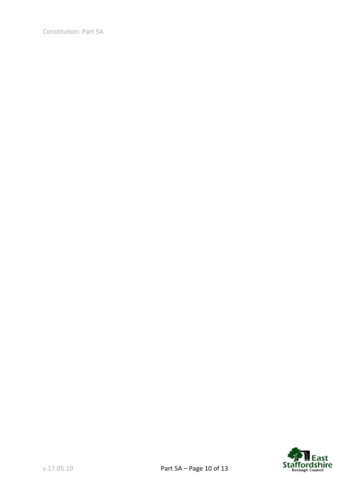Constitution: Part 5A

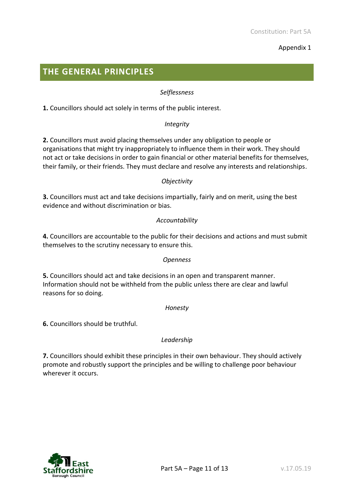### Appendix 1

## <span id="page-12-0"></span>**THE GENERAL PRINCIPLES**

#### *Selflessness*

**1.** Councillors should act solely in terms of the public interest.

#### *Integrity*

**2.** Councillors must avoid placing themselves under any obligation to people or organisations that might try inappropriately to influence them in their work. They should not act or take decisions in order to gain financial or other material benefits for themselves, their family, or their friends. They must declare and resolve any interests and relationships.

#### *Objectivity*

**3.** Councillors must act and take decisions impartially, fairly and on merit, using the best evidence and without discrimination or bias.

#### *Accountability*

**4.** Councillors are accountable to the public for their decisions and actions and must submit themselves to the scrutiny necessary to ensure this.

#### *Openness*

**5.** Councillors should act and take decisions in an open and transparent manner. Information should not be withheld from the public unless there are clear and lawful reasons for so doing.

#### *Honesty*

**6.** Councillors should be truthful.

### *Leadership*

**7.** Councillors should exhibit these principles in their own behaviour. They should actively promote and robustly support the principles and be willing to challenge poor behaviour wherever it occurs.

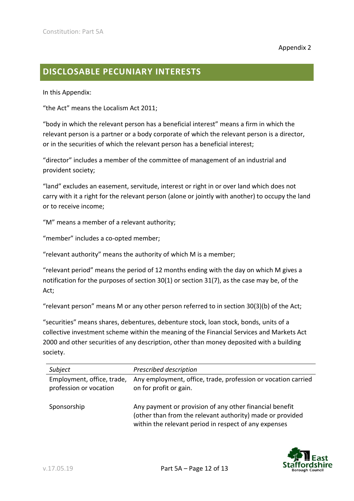# <span id="page-13-0"></span>**DISCLOSABLE PECUNIARY INTERESTS**

In this Appendix:

"the Act" means the Localism Act 2011;

"body in which the relevant person has a beneficial interest" means a firm in which the relevant person is a partner or a body corporate of which the relevant person is a director, or in the securities of which the relevant person has a beneficial interest;

"director" includes a member of the committee of management of an industrial and provident society;

"land" excludes an easement, servitude, interest or right in or over land which does not carry with it a right for the relevant person (alone or jointly with another) to occupy the land or to receive income;

"M" means a member of a relevant authority;

"member" includes a co-opted member;

"relevant authority" means the authority of which M is a member;

"relevant period" means the period of 12 months ending with the day on which M gives a notification for the purposes of section 30(1) or section 31(7), as the case may be, of the Act;

"relevant person" means M or any other person referred to in section 30(3)(b) of the Act;

"securities" means shares, debentures, debenture stock, loan stock, bonds, units of a collective investment scheme within the meaning of the Financial Services and Markets Act 2000 and other securities of any description, other than money deposited with a building society.

| Subject                                              | Prescribed description                                                                                                                                                        |
|------------------------------------------------------|-------------------------------------------------------------------------------------------------------------------------------------------------------------------------------|
| Employment, office, trade,<br>profession or vocation | Any employment, office, trade, profession or vocation carried<br>on for profit or gain.                                                                                       |
| Sponsorship                                          | Any payment or provision of any other financial benefit<br>(other than from the relevant authority) made or provided<br>within the relevant period in respect of any expenses |